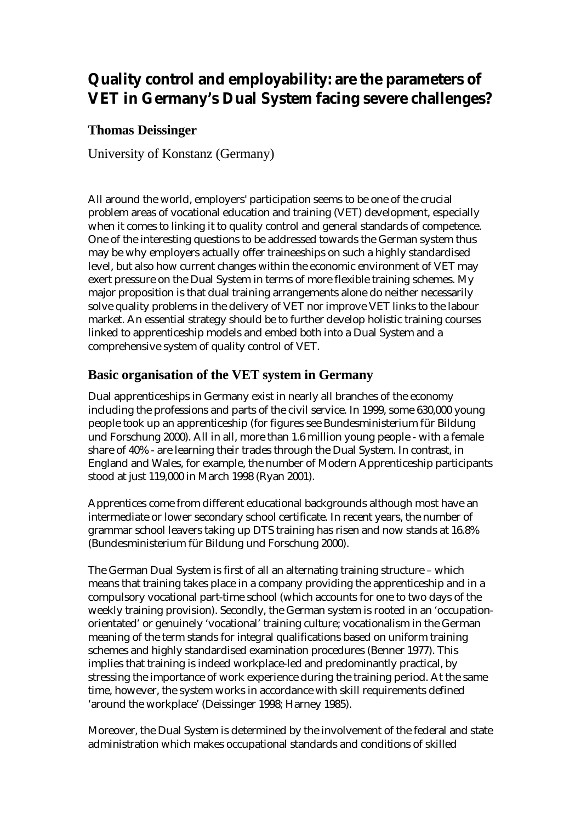# **Quality control and employability: are the parameters of VET in Germany's Dual System facing severe challenges?**

# **Thomas Deissinger**

University of Konstanz (Germany)

All around the world, employers' participation seems to be one of the crucial problem areas of vocational education and training (VET) development, especially when it comes to linking it to quality control and general standards of competence. One of the interesting questions to be addressed towards the German system thus may be why employers actually offer traineeships on such a highly standardised level, but also how current changes within the economic environment of VET may exert pressure on the Dual System in terms of more flexible training schemes. My major proposition is that dual training arrangements alone do neither necessarily solve quality problems in the delivery of VET nor improve VET links to the labour market. An essential strategy should be to further develop holistic training courses linked to apprenticeship models and embed both into a Dual System and a comprehensive system of quality control of VET.

# **Basic organisation of the VET system in Germany**

Dual apprenticeships in Germany exist in nearly all branches of the economy including the professions and parts of the civil service. In 1999, some 630,000 young people took up an apprenticeship (for figures see Bundesministerium für Bildung und Forschung 2000). All in all, more than 1.6 million young people - with a female share of 40% - are learning their trades through the Dual System. In contrast, in England and Wales, for example, the number of Modern Apprenticeship participants stood at just 119,000 in March 1998 (Ryan 2001).

Apprentices come from different educational backgrounds although most have an intermediate or lower secondary school certificate. In recent years, the number of grammar school leavers taking up DTS training has risen and now stands at 16.8% (Bundesministerium für Bildung und Forschung 2000).

The German Dual System is first of all an alternating training structure – which means that training takes place in a company providing the apprenticeship and in a compulsory vocational part-time school (which accounts for one to two days of the weekly training provision). Secondly, the German system is rooted in an 'occupationorientated' or genuinely 'vocational' training culture; vocationalism in the German meaning of the term stands for integral qualifications based on uniform training schemes and highly standardised examination procedures (Benner 1977). This implies that training is indeed workplace-led and predominantly practical, by stressing the importance of work experience during the training period. At the same time, however, the system works in accordance with skill requirements defined 'around the workplace' (Deissinger 1998; Harney 1985).

Moreover, the Dual System is determined by the involvement of the federal and state administration which makes occupational standards and conditions of skilled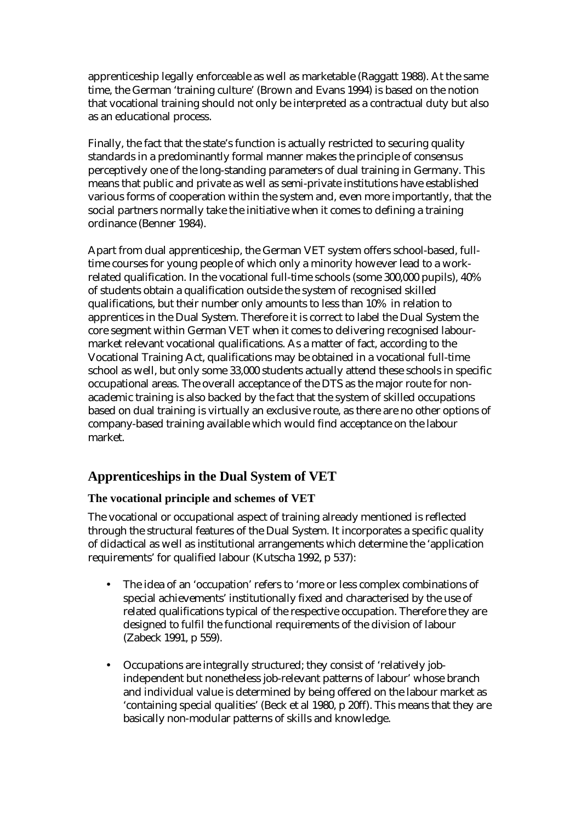apprenticeship legally enforceable as well as marketable (Raggatt 1988). At the same time, the German 'training culture' (Brown and Evans 1994) is based on the notion that vocational training should not only be interpreted as a contractual duty but also as an educational process.

Finally, the fact that the state's function is actually restricted to securing quality standards in a predominantly formal manner makes the principle of consensus perceptively one of the long-standing parameters of dual training in Germany. This means that public and private as well as semi-private institutions have established various forms of cooperation within the system and, even more importantly, that the social partners normally take the initiative when it comes to defining a training ordinance (Benner 1984).

Apart from dual apprenticeship, the German VET system offers school-based, fulltime courses for young people of which only a minority however lead to a workrelated qualification. In the vocational full-time schools (some 300,000 pupils), 40% of students obtain a qualification outside the system of recognised skilled qualifications, but their number only amounts to less than 10% in relation to apprentices in the Dual System. Therefore it is correct to label the Dual System the core segment within German VET when it comes to delivering recognised labourmarket relevant vocational qualifications. As a matter of fact, according to the Vocational Training Act, qualifications may be obtained in a vocational full-time school as well, but only some 33,000 students actually attend these schools in specific occupational areas. The overall acceptance of the DTS as the major route for nonacademic training is also backed by the fact that the system of skilled occupations based on dual training is virtually an exclusive route, as there are no other options of company-based training available which would find acceptance on the labour market.

# **Apprenticeships in the Dual System of VET**

## **The vocational principle and schemes of VET**

The vocational or occupational aspect of training already mentioned is reflected through the structural features of the Dual System. It incorporates a specific quality of didactical as well as institutional arrangements which determine the 'application requirements' for qualified labour (Kutscha 1992, p 537):

- The idea of an 'occupation' refers to 'more or less complex combinations of special achievements' institutionally fixed and characterised by the use of related qualifications typical of the respective occupation. Therefore they are designed to fulfil the functional requirements of the division of labour (Zabeck 1991, p 559).
- Occupations are integrally structured; they consist of 'relatively jobindependent but nonetheless job-relevant patterns of labour' whose branch and individual value is determined by being offered on the labour market as 'containing special qualities' (Beck et al 1980, p 20ff). This means that they are basically non-modular patterns of skills and knowledge.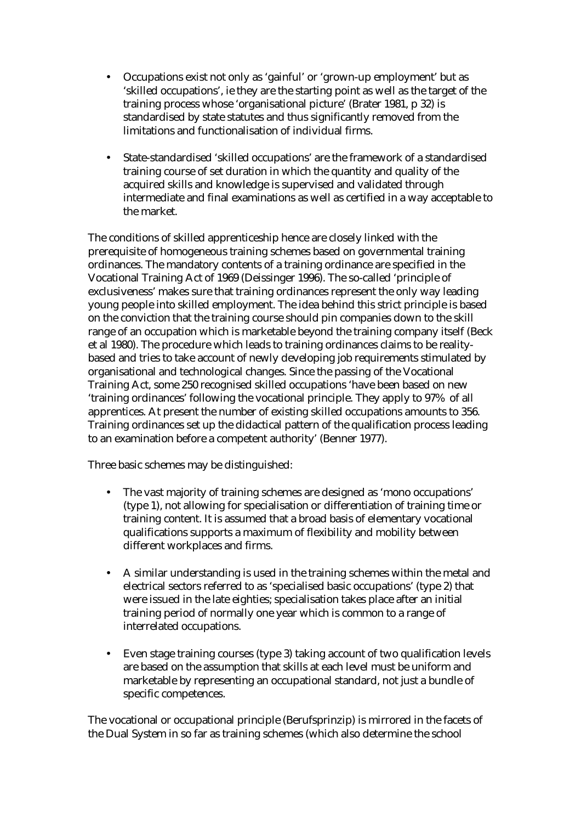- Occupations exist not only as 'gainful' or 'grown-up employment' but as 'skilled occupations', ie they are the starting point as well as the target of the training process whose 'organisational picture' (Brater 1981, p 32) is standardised by state statutes and thus significantly removed from the limitations and functionalisation of individual firms.
- State-standardised 'skilled occupations' are the framework of a standardised training course of set duration in which the quantity and quality of the acquired skills and knowledge is supervised and validated through intermediate and final examinations as well as certified in a way acceptable to the market.

The conditions of skilled apprenticeship hence are closely linked with the prerequisite of homogeneous training schemes based on governmental training ordinances. The mandatory contents of a training ordinance are specified in the Vocational Training Act of 1969 (Deissinger 1996). The so-called 'principle of exclusiveness' makes sure that training ordinances represent the only way leading young people into skilled employment. The idea behind this strict principle is based on the conviction that the training course should pin companies down to the skill range of an occupation which is marketable beyond the training company itself (Beck et al 1980). The procedure which leads to training ordinances claims to be realitybased and tries to take account of newly developing job requirements stimulated by organisational and technological changes. Since the passing of the Vocational Training Act, some 250 recognised skilled occupations 'have been based on new 'training ordinances' following the vocational principle. They apply to 97% of all apprentices. At present the number of existing skilled occupations amounts to 356. Training ordinances set up the didactical pattern of the qualification process leading to an examination before a competent authority' (Benner 1977).

Three basic schemes may be distinguished:

- The vast majority of training schemes are designed as 'mono occupations' (type 1), not allowing for specialisation or differentiation of training time or training content. It is assumed that a broad basis of elementary vocational qualifications supports a maximum of flexibility and mobility between different workplaces and firms.
- A similar understanding is used in the training schemes within the metal and electrical sectors referred to as 'specialised basic occupations' (type 2) that were issued in the late eighties; specialisation takes place after an initial training period of normally one year which is common to a range of interrelated occupations.
- Even stage training courses (type 3) taking account of two qualification levels are based on the assumption that skills at each level must be uniform and marketable by representing an occupational standard, not just a bundle of specific competences.

The vocational or occupational principle (Berufsprinzip) is mirrored in the facets of the Dual System in so far as training schemes (which also determine the school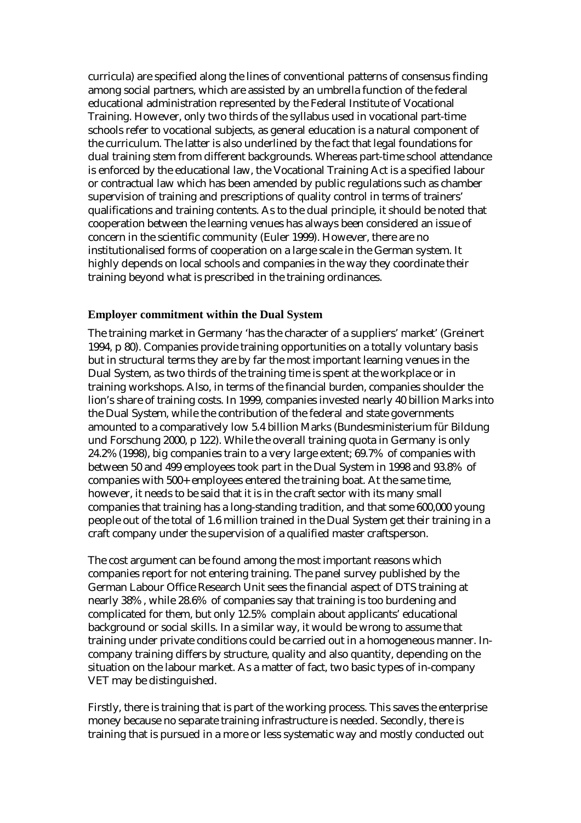curricula) are specified along the lines of conventional patterns of consensus finding among social partners, which are assisted by an umbrella function of the federal educational administration represented by the Federal Institute of Vocational Training. However, only two thirds of the syllabus used in vocational part-time schools refer to vocational subjects, as general education is a natural component of the curriculum. The latter is also underlined by the fact that legal foundations for dual training stem from different backgrounds. Whereas part-time school attendance is enforced by the educational law, the Vocational Training Act is a specified labour or contractual law which has been amended by public regulations such as chamber supervision of training and prescriptions of quality control in terms of trainers' qualifications and training contents. As to the dual principle, it should be noted that cooperation between the learning venues has always been considered an issue of concern in the scientific community (Euler 1999). However, there are no institutionalised forms of cooperation on a large scale in the German system. It highly depends on local schools and companies in the way they coordinate their training beyond what is prescribed in the training ordinances.

#### **Employer commitment within the Dual System**

The training market in Germany 'has the character of a suppliers' market' (Greinert 1994, p 80). Companies provide training opportunities on a totally voluntary basis but in structural terms they are by far the most important learning venues in the Dual System, as two thirds of the training time is spent at the workplace or in training workshops. Also, in terms of the financial burden, companies shoulder the lion's share of training costs. In 1999, companies invested nearly 40 billion Marks into the Dual System, while the contribution of the federal and state governments amounted to a comparatively low 5.4 billion Marks (Bundesministerium für Bildung und Forschung 2000, p 122). While the overall training quota in Germany is only 24.2% (1998), big companies train to a very large extent; 69.7% of companies with between 50 and 499 employees took part in the Dual System in 1998 and 93.8% of companies with 500+ employees entered the training boat. At the same time, however, it needs to be said that it is in the craft sector with its many small companies that training has a long-standing tradition, and that some 600,000 young people out of the total of 1.6 million trained in the Dual System get their training in a craft company under the supervision of a qualified master craftsperson.

The cost argument can be found among the most important reasons which companies report for not entering training. The panel survey published by the German Labour Office Research Unit sees the financial aspect of DTS training at nearly 38% , while 28.6% of companies say that training is too burdening and complicated for them, but only 12.5% complain about applicants' educational background or social skills. In a similar way, it would be wrong to assume that training under private conditions could be carried out in a homogeneous manner. Incompany training differs by structure, quality and also quantity, depending on the situation on the labour market. As a matter of fact, two basic types of in-company VET may be distinguished.

Firstly, there is training that is part of the working process. This saves the enterprise money because no separate training infrastructure is needed. Secondly, there is training that is pursued in a more or less systematic way and mostly conducted out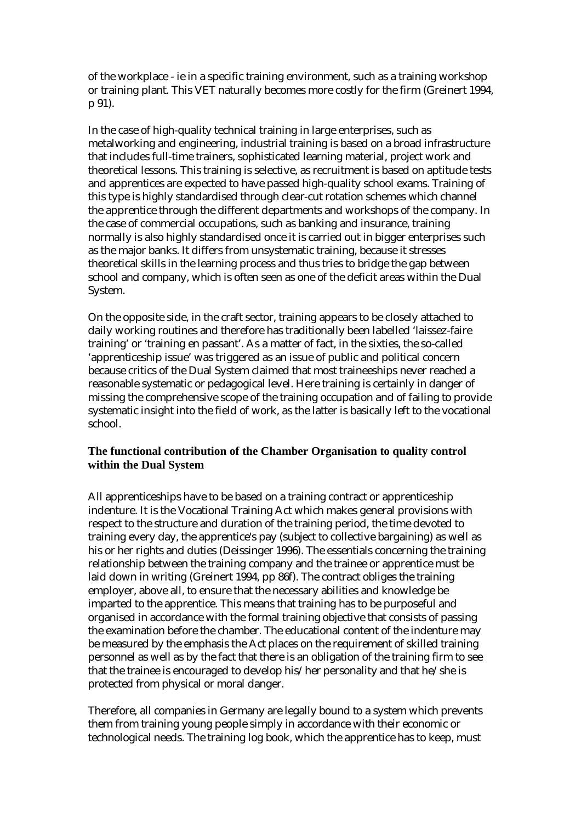of the workplace - ie in a specific training environment, such as a training workshop or training plant. This VET naturally becomes more costly for the firm (Greinert 1994, p 91).

In the case of high-quality technical training in large enterprises, such as metalworking and engineering, industrial training is based on a broad infrastructure that includes full-time trainers, sophisticated learning material, project work and theoretical lessons. This training is selective, as recruitment is based on aptitude tests and apprentices are expected to have passed high-quality school exams. Training of this type is highly standardised through clear-cut rotation schemes which channel the apprentice through the different departments and workshops of the company. In the case of commercial occupations, such as banking and insurance, training normally is also highly standardised once it is carried out in bigger enterprises such as the major banks. It differs from unsystematic training, because it stresses theoretical skills in the learning process and thus tries to bridge the gap between school and company, which is often seen as one of the deficit areas within the Dual System.

On the opposite side, in the craft sector, training appears to be closely attached to daily working routines and therefore has traditionally been labelled 'laissez-faire training' or 'training en passant'. As a matter of fact, in the sixties, the so-called 'apprenticeship issue' was triggered as an issue of public and political concern because critics of the Dual System claimed that most traineeships never reached a reasonable systematic or pedagogical level. Here training is certainly in danger of missing the comprehensive scope of the training occupation and of failing to provide systematic insight into the field of work, as the latter is basically left to the vocational school.

## **The functional contribution of the Chamber Organisation to quality control within the Dual System**

All apprenticeships have to be based on a training contract or apprenticeship indenture. It is the Vocational Training Act which makes general provisions with respect to the structure and duration of the training period, the time devoted to training every day, the apprentice's pay (subject to collective bargaining) as well as his or her rights and duties (Deissinger 1996). The essentials concerning the training relationship between the training company and the trainee or apprentice must be laid down in writing (Greinert 1994, pp 86f). The contract obliges the training employer, above all, to ensure that the necessary abilities and knowledge be imparted to the apprentice. This means that training has to be purposeful and organised in accordance with the formal training objective that consists of passing the examination before the chamber. The educational content of the indenture may be measured by the emphasis the Act places on the requirement of skilled training personnel as well as by the fact that there is an obligation of the training firm to see that the trainee is encouraged to develop his/her personality and that he/she is protected from physical or moral danger.

Therefore, all companies in Germany are legally bound to a system which prevents them from training young people simply in accordance with their economic or technological needs. The training log book, which the apprentice has to keep, must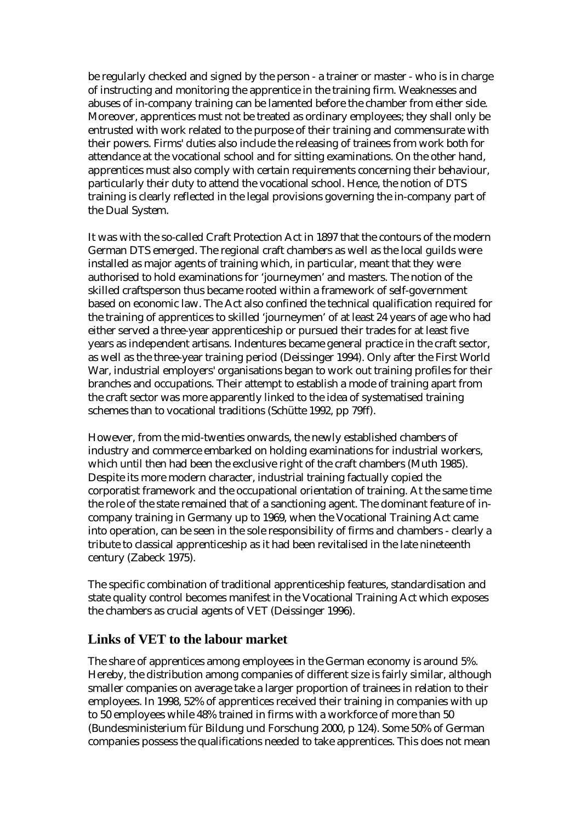be regularly checked and signed by the person - a trainer or master - who is in charge of instructing and monitoring the apprentice in the training firm. Weaknesses and abuses of in-company training can be lamented before the chamber from either side. Moreover, apprentices must not be treated as ordinary employees; they shall only be entrusted with work related to the purpose of their training and commensurate with their powers. Firms' duties also include the releasing of trainees from work both for attendance at the vocational school and for sitting examinations. On the other hand, apprentices must also comply with certain requirements concerning their behaviour, particularly their duty to attend the vocational school. Hence, the notion of DTS training is clearly reflected in the legal provisions governing the in-company part of the Dual System.

It was with the so-called Craft Protection Act in 1897 that the contours of the modern German DTS emerged. The regional craft chambers as well as the local guilds were installed as major agents of training which, in particular, meant that they were authorised to hold examinations for 'journeymen' and masters. The notion of the skilled craftsperson thus became rooted within a framework of self-government based on economic law. The Act also confined the technical qualification required for the training of apprentices to skilled 'journeymen' of at least 24 years of age who had either served a three-year apprenticeship or pursued their trades for at least five years as independent artisans. Indentures became general practice in the craft sector, as well as the three-year training period (Deissinger 1994). Only after the First World War, industrial employers' organisations began to work out training profiles for their branches and occupations. Their attempt to establish a mode of training apart from the craft sector was more apparently linked to the idea of systematised training schemes than to vocational traditions (Schütte 1992, pp 79ff).

However, from the mid-twenties onwards, the newly established chambers of industry and commerce embarked on holding examinations for industrial workers, which until then had been the exclusive right of the craft chambers (Muth 1985). Despite its more modern character, industrial training factually copied the corporatist framework and the occupational orientation of training. At the same time the role of the state remained that of a sanctioning agent. The dominant feature of incompany training in Germany up to 1969, when the Vocational Training Act came into operation, can be seen in the sole responsibility of firms and chambers - clearly a tribute to classical apprenticeship as it had been revitalised in the late nineteenth century (Zabeck 1975).

The specific combination of traditional apprenticeship features, standardisation and state quality control becomes manifest in the Vocational Training Act which exposes the chambers as crucial agents of VET (Deissinger 1996).

## **Links of VET to the labour market**

The share of apprentices among employees in the German economy is around 5%. Hereby, the distribution among companies of different size is fairly similar, although smaller companies on average take a larger proportion of trainees in relation to their employees. In 1998, 52% of apprentices received their training in companies with up to 50 employees while 48% trained in firms with a workforce of more than 50 (Bundesministerium für Bildung und Forschung 2000, p 124). Some 50% of German companies possess the qualifications needed to take apprentices. This does not mean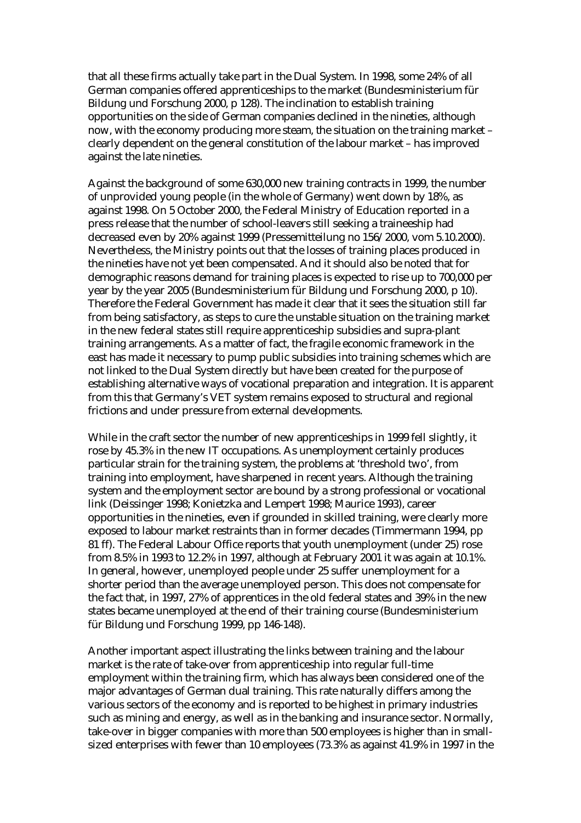that all these firms actually take part in the Dual System. In 1998, some 24% of all German companies offered apprenticeships to the market (Bundesministerium für Bildung und Forschung 2000, p 128). The inclination to establish training opportunities on the side of German companies declined in the nineties, although now, with the economy producing more steam, the situation on the training market – clearly dependent on the general constitution of the labour market – has improved against the late nineties.

Against the background of some 630,000 new training contracts in 1999, the number of unprovided young people (in the whole of Germany) went down by 18%, as against 1998. On 5 October 2000, the Federal Ministry of Education reported in a press release that the number of school-leavers still seeking a traineeship had decreased even by 20% against 1999 (Pressemitteilung no 156/2000, vom 5.10.2000). Nevertheless, the Ministry points out that the losses of training places produced in the nineties have not yet been compensated. And it should also be noted that for demographic reasons demand for training places is expected to rise up to 700,000 per year by the year 2005 (Bundesministerium für Bildung und Forschung 2000, p 10). Therefore the Federal Government has made it clear that it sees the situation still far from being satisfactory, as steps to cure the unstable situation on the training market in the new federal states still require apprenticeship subsidies and supra-plant training arrangements. As a matter of fact, the fragile economic framework in the east has made it necessary to pump public subsidies into training schemes which are not linked to the Dual System directly but have been created for the purpose of establishing alternative ways of vocational preparation and integration. It is apparent from this that Germany's VET system remains exposed to structural and regional frictions and under pressure from external developments.

While in the craft sector the number of new apprenticeships in 1999 fell slightly, it rose by 45.3% in the new IT occupations. As unemployment certainly produces particular strain for the training system, the problems at 'threshold two', from training into employment, have sharpened in recent years. Although the training system and the employment sector are bound by a strong professional or vocational link (Deissinger 1998; Konietzka and Lempert 1998; Maurice 1993), career opportunities in the nineties, even if grounded in skilled training, were clearly more exposed to labour market restraints than in former decades (Timmermann 1994, pp 81 ff). The Federal Labour Office reports that youth unemployment (under 25) rose from 8.5% in 1993 to 12.2% in 1997, although at February 2001 it was again at 10.1%. In general, however, unemployed people under 25 suffer unemployment for a shorter period than the average unemployed person. This does not compensate for the fact that, in 1997, 27% of apprentices in the old federal states and 39% in the new states became unemployed at the end of their training course (Bundesministerium für Bildung und Forschung 1999, pp 146-148).

Another important aspect illustrating the links between training and the labour market is the rate of take-over from apprenticeship into regular full-time employment within the training firm, which has always been considered one of the major advantages of German dual training. This rate naturally differs among the various sectors of the economy and is reported to be highest in primary industries such as mining and energy, as well as in the banking and insurance sector. Normally, take-over in bigger companies with more than 500 employees is higher than in smallsized enterprises with fewer than 10 employees (73.3% as against 41.9% in 1997 in the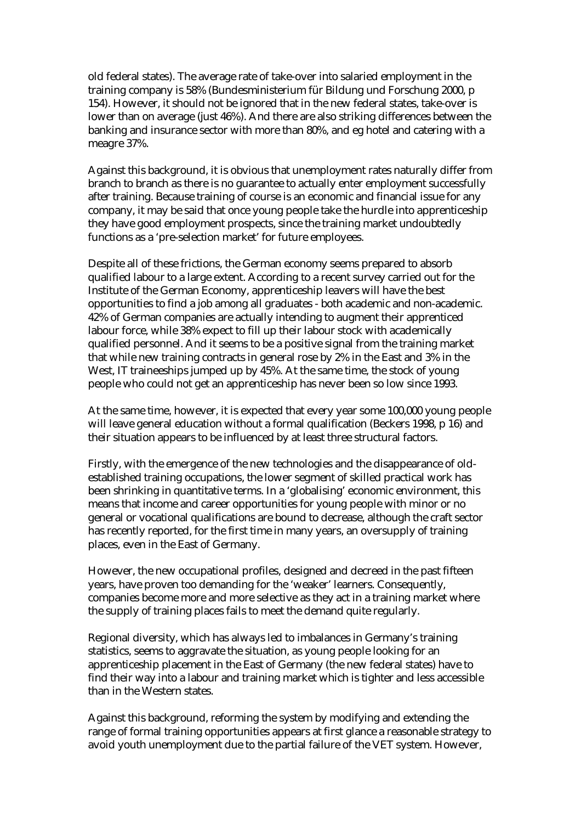old federal states). The average rate of take-over into salaried employment in the training company is 58% (Bundesministerium für Bildung und Forschung 2000, p 154). However, it should not be ignored that in the new federal states, take-over is lower than on average (just 46%). And there are also striking differences between the banking and insurance sector with more than 80%, and eg hotel and catering with a meagre 37%.

Against this background, it is obvious that unemployment rates naturally differ from branch to branch as there is no guarantee to actually enter employment successfully after training. Because training of course is an economic and financial issue for any company, it may be said that once young people take the hurdle into apprenticeship they have good employment prospects, since the training market undoubtedly functions as a 'pre-selection market' for future employees.

Despite all of these frictions, the German economy seems prepared to absorb qualified labour to a large extent. According to a recent survey carried out for the Institute of the German Economy, apprenticeship leavers will have the best opportunities to find a job among all graduates - both academic and non-academic. 42% of German companies are actually intending to augment their apprenticed labour force, while 38% expect to fill up their labour stock with academically qualified personnel. And it seems to be a positive signal from the training market that while new training contracts in general rose by 2% in the East and 3% in the West, IT traineeships jumped up by 45%. At the same time, the stock of young people who could not get an apprenticeship has never been so low since 1993.

At the same time, however, it is expected that every year some 100,000 young people will leave general education without a formal qualification (Beckers 1998, p 16) and their situation appears to be influenced by at least three structural factors.

Firstly, with the emergence of the new technologies and the disappearance of oldestablished training occupations, the lower segment of skilled practical work has been shrinking in quantitative terms. In a 'globalising' economic environment, this means that income and career opportunities for young people with minor or no general or vocational qualifications are bound to decrease, although the craft sector has recently reported, for the first time in many years, an oversupply of training places, even in the East of Germany.

However, the new occupational profiles, designed and decreed in the past fifteen years, have proven too demanding for the 'weaker' learners. Consequently, companies become more and more selective as they act in a training market where the supply of training places fails to meet the demand quite regularly.

Regional diversity, which has always led to imbalances in Germany's training statistics, seems to aggravate the situation, as young people looking for an apprenticeship placement in the East of Germany (the new federal states) have to find their way into a labour and training market which is tighter and less accessible than in the Western states.

Against this background, reforming the system by modifying and extending the range of formal training opportunities appears at first glance a reasonable strategy to avoid youth unemployment due to the partial failure of the VET system. However,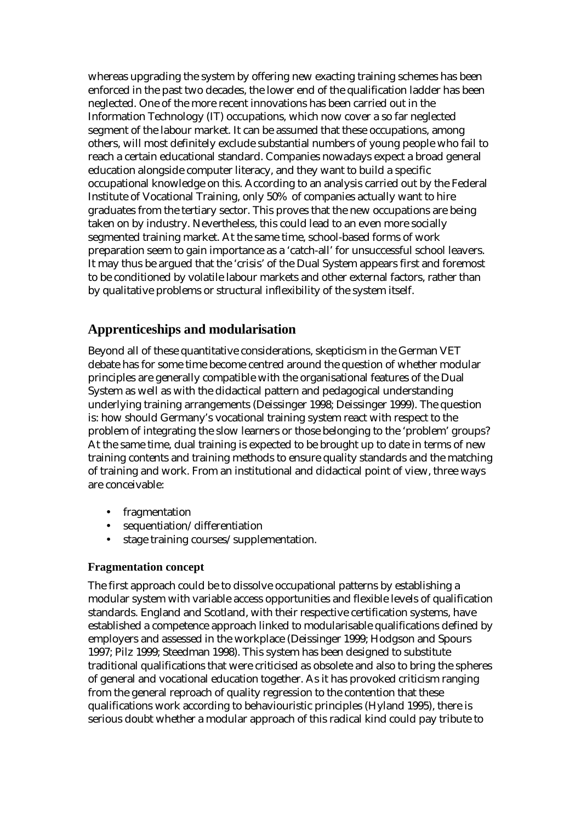whereas upgrading the system by offering new exacting training schemes has been enforced in the past two decades, the lower end of the qualification ladder has been neglected. One of the more recent innovations has been carried out in the Information Technology (IT) occupations, which now cover a so far neglected segment of the labour market. It can be assumed that these occupations, among others, will most definitely exclude substantial numbers of young people who fail to reach a certain educational standard. Companies nowadays expect a broad general education alongside computer literacy, and they want to build a specific occupational knowledge on this. According to an analysis carried out by the Federal Institute of Vocational Training, only 50% of companies actually want to hire graduates from the tertiary sector. This proves that the new occupations are being taken on by industry. Nevertheless, this could lead to an even more socially segmented training market. At the same time, school-based forms of work preparation seem to gain importance as a 'catch-all' for unsuccessful school leavers. It may thus be argued that the 'crisis' of the Dual System appears first and foremost to be conditioned by volatile labour markets and other external factors, rather than by qualitative problems or structural inflexibility of the system itself.

# **Apprenticeships and modularisation**

Beyond all of these quantitative considerations, skepticism in the German VET debate has for some time become centred around the question of whether modular principles are generally compatible with the organisational features of the Dual System as well as with the didactical pattern and pedagogical understanding underlying training arrangements (Deissinger 1998; Deissinger 1999). The question is: how should Germany's vocational training system react with respect to the problem of integrating the slow learners or those belonging to the 'problem' groups? At the same time, dual training is expected to be brought up to date in terms of new training contents and training methods to ensure quality standards and the matching of training and work. From an institutional and didactical point of view, three ways are conceivable:

- fragmentation
- sequentiation/differentiation
- stage training courses/supplementation.

#### **Fragmentation concept**

The first approach could be to dissolve occupational patterns by establishing a modular system with variable access opportunities and flexible levels of qualification standards. England and Scotland, with their respective certification systems, have established a competence approach linked to modularisable qualifications defined by employers and assessed in the workplace (Deissinger 1999; Hodgson and Spours 1997; Pilz 1999; Steedman 1998). This system has been designed to substitute traditional qualifications that were criticised as obsolete and also to bring the spheres of general and vocational education together. As it has provoked criticism ranging from the general reproach of quality regression to the contention that these qualifications work according to behaviouristic principles (Hyland 1995), there is serious doubt whether a modular approach of this radical kind could pay tribute to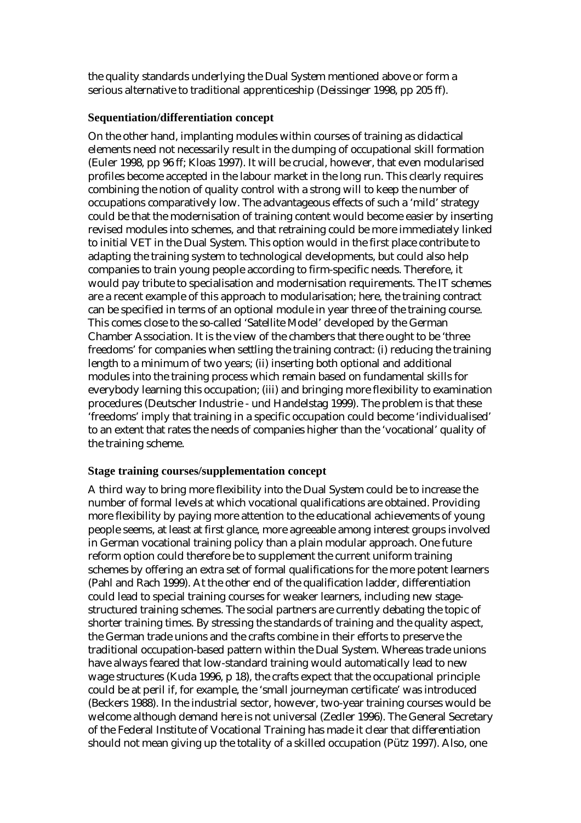the quality standards underlying the Dual System mentioned above or form a serious alternative to traditional apprenticeship (Deissinger 1998, pp 205 ff).

#### **Sequentiation/differentiation concept**

On the other hand, implanting modules within courses of training as didactical elements need not necessarily result in the dumping of occupational skill formation (Euler 1998, pp 96 ff; Kloas 1997). It will be crucial, however, that even modularised profiles become accepted in the labour market in the long run. This clearly requires combining the notion of quality control with a strong will to keep the number of occupations comparatively low. The advantageous effects of such a 'mild' strategy could be that the modernisation of training content would become easier by inserting revised modules into schemes, and that retraining could be more immediately linked to initial VET in the Dual System. This option would in the first place contribute to adapting the training system to technological developments, but could also help companies to train young people according to firm-specific needs. Therefore, it would pay tribute to specialisation and modernisation requirements. The IT schemes are a recent example of this approach to modularisation; here, the training contract can be specified in terms of an optional module in year three of the training course. This comes close to the so-called 'Satellite Model' developed by the German Chamber Association. It is the view of the chambers that there ought to be 'three freedoms' for companies when settling the training contract: (i) reducing the training length to a minimum of two years; (ii) inserting both optional and additional modules into the training process which remain based on fundamental skills for everybody learning this occupation; (iii) and bringing more flexibility to examination procedures (Deutscher Industrie - und Handelstag 1999). The problem is that these 'freedoms' imply that training in a specific occupation could become 'individualised' to an extent that rates the needs of companies higher than the 'vocational' quality of the training scheme.

#### **Stage training courses/supplementation concept**

A third way to bring more flexibility into the Dual System could be to increase the number of formal levels at which vocational qualifications are obtained. Providing more flexibility by paying more attention to the educational achievements of young people seems, at least at first glance, more agreeable among interest groups involved in German vocational training policy than a plain modular approach. One future reform option could therefore be to supplement the current uniform training schemes by offering an extra set of formal qualifications for the more potent learners (Pahl and Rach 1999). At the other end of the qualification ladder, differentiation could lead to special training courses for weaker learners, including new stagestructured training schemes. The social partners are currently debating the topic of shorter training times. By stressing the standards of training and the quality aspect, the German trade unions and the crafts combine in their efforts to preserve the traditional occupation-based pattern within the Dual System. Whereas trade unions have always feared that low-standard training would automatically lead to new wage structures (Kuda 1996, p 18), the crafts expect that the occupational principle could be at peril if, for example, the 'small journeyman certificate' was introduced (Beckers 1988). In the industrial sector, however, two-year training courses would be welcome although demand here is not universal (Zedler 1996). The General Secretary of the Federal Institute of Vocational Training has made it clear that differentiation should not mean giving up the totality of a skilled occupation (Pütz 1997). Also, one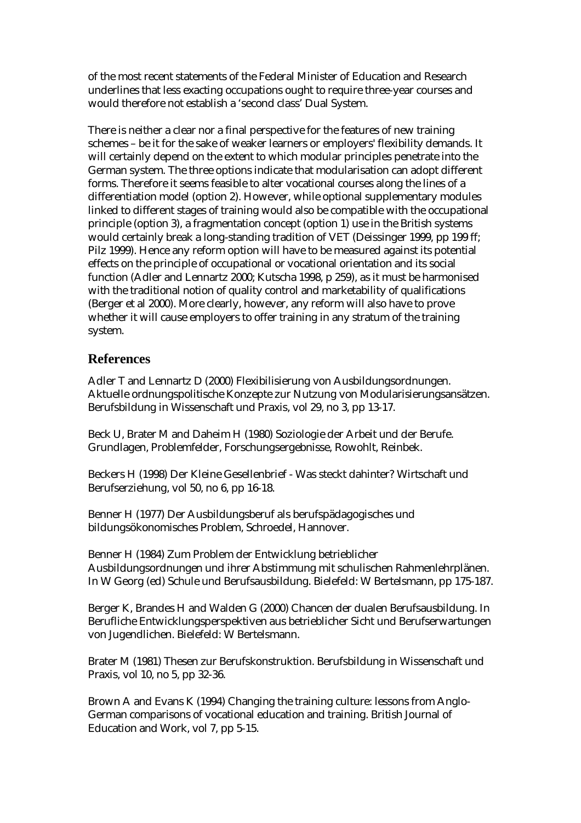of the most recent statements of the Federal Minister of Education and Research underlines that less exacting occupations ought to require three-year courses and would therefore not establish a 'second class' Dual System.

There is neither a clear nor a final perspective for the features of new training schemes – be it for the sake of weaker learners or employers' flexibility demands. It will certainly depend on the extent to which modular principles penetrate into the German system. The three options indicate that modularisation can adopt different forms. Therefore it seems feasible to alter vocational courses along the lines of a differentiation model (option 2). However, while optional supplementary modules linked to different stages of training would also be compatible with the occupational principle (option 3), a fragmentation concept (option 1) use in the British systems would certainly break a long-standing tradition of VET (Deissinger 1999, pp 199 ff; Pilz 1999). Hence any reform option will have to be measured against its potential effects on the principle of occupational or vocational orientation and its social function (Adler and Lennartz 2000; Kutscha 1998, p 259), as it must be harmonised with the traditional notion of quality control and marketability of qualifications (Berger et al 2000). More clearly, however, any reform will also have to prove whether it will cause employers to offer training in any stratum of the training system.

## **References**

Adler T and Lennartz D (2000) Flexibilisierung von Ausbildungsordnungen. Aktuelle ordnungspolitische Konzepte zur Nutzung von Modularisierungsansätzen. Berufsbildung in Wissenschaft und Praxis, vol 29, no 3, pp 13-17.

Beck U, Brater M and Daheim H (1980) Soziologie der Arbeit und der Berufe. Grundlagen, Problemfelder, Forschungsergebnisse, Rowohlt, Reinbek.

Beckers H (1998) Der Kleine Gesellenbrief - Was steckt dahinter? Wirtschaft und Berufserziehung, vol 50, no 6, pp 16-18.

Benner H (1977) Der Ausbildungsberuf als berufspädagogisches und bildungsökonomisches Problem, Schroedel, Hannover.

Benner H (1984) Zum Problem der Entwicklung betrieblicher Ausbildungsordnungen und ihrer Abstimmung mit schulischen Rahmenlehrplänen. In W Georg (ed) Schule und Berufsausbildung. Bielefeld: W Bertelsmann, pp 175-187.

Berger K, Brandes H and Walden G (2000) Chancen der dualen Berufsausbildung. In Berufliche Entwicklungsperspektiven aus betrieblicher Sicht und Berufserwartungen von Jugendlichen. Bielefeld: W Bertelsmann.

Brater M (1981) Thesen zur Berufskonstruktion. Berufsbildung in Wissenschaft und Praxis, vol 10, no 5, pp 32-36.

Brown A and Evans K (1994) Changing the training culture: lessons from Anglo-German comparisons of vocational education and training. British Journal of Education and Work, vol 7, pp 5-15.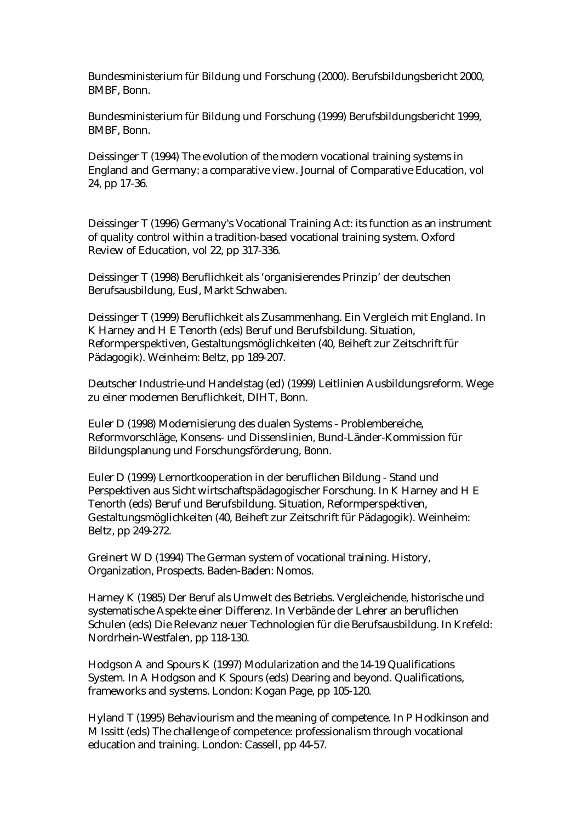Bundesministerium für Bildung und Forschung (2000). Berufsbildungsbericht 2000, BMBF, Bonn.

Bundesministerium für Bildung und Forschung (1999) Berufsbildungsbericht 1999, BMBF, Bonn.

Deissinger T (1994) The evolution of the modern vocational training systems in England and Germany: a comparative view. Journal of Comparative Education, vol 24, pp 17-36.

Deissinger T (1996) Germany's Vocational Training Act: its function as an instrument of quality control within a tradition-based vocational training system. Oxford Review of Education, vol 22, pp 317-336.

Deissinger T (1998) Beruflichkeit als 'organisierendes Prinzip' der deutschen Berufsausbildung, Eusl, Markt Schwaben.

Deissinger T (1999) Beruflichkeit als Zusammenhang. Ein Vergleich mit England. In K Harney and H E Tenorth (eds) Beruf und Berufsbildung. Situation, Reformperspektiven, Gestaltungsmöglichkeiten (40, Beiheft zur Zeitschrift für Pädagogik). Weinheim: Beltz, pp 189-207.

Deutscher Industrie-und Handelstag (ed) (1999) Leitlinien Ausbildungsreform. Wege zu einer modernen Beruflichkeit, DIHT, Bonn.

Euler D (1998) Modernisierung des dualen Systems - Problembereiche, Reformvorschläge, Konsens- und Dissenslinien, Bund-Länder-Kommission für Bildungsplanung und Forschungsförderung, Bonn.

Euler D (1999) Lernortkooperation in der beruflichen Bildung - Stand und Perspektiven aus Sicht wirtschaftspädagogischer Forschung. In K Harney and H E Tenorth (eds) Beruf und Berufsbildung. Situation, Reformperspektiven, Gestaltungsmöglichkeiten (40, Beiheft zur Zeitschrift für Pädagogik). Weinheim: Beltz, pp 249-272.

Greinert W D (1994) The German system of vocational training. History, Organization, Prospects. Baden-Baden: Nomos.

Harney K (1985) Der Beruf als Umwelt des Betriebs. Vergleichende, historische und systematische Aspekte einer Differenz. In Verbände der Lehrer an beruflichen Schulen (eds) Die Relevanz neuer Technologien für die Berufsausbildung. In Krefeld: Nordrhein-Westfalen, pp 118-130.

Hodgson A and Spours K (1997) Modularization and the 14-19 Qualifications System. In A Hodgson and K Spours (eds) Dearing and beyond. Qualifications, frameworks and systems. London: Kogan Page, pp 105-120.

Hyland T (1995) Behaviourism and the meaning of competence. In P Hodkinson and M Issitt (eds) The challenge of competence: professionalism through vocational education and training. London: Cassell, pp 44-57.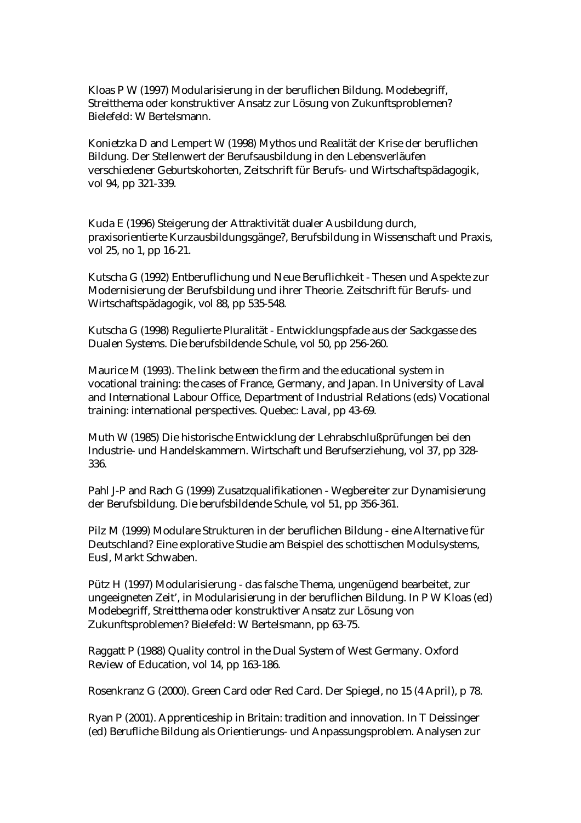Kloas P W (1997) Modularisierung in der beruflichen Bildung. Modebegriff, Streitthema oder konstruktiver Ansatz zur Lösung von Zukunftsproblemen? Bielefeld: W Bertelsmann.

Konietzka D and Lempert W (1998) Mythos und Realität der Krise der beruflichen Bildung. Der Stellenwert der Berufsausbildung in den Lebensverläufen verschiedener Geburtskohorten, Zeitschrift für Berufs- und Wirtschaftspädagogik, vol 94, pp 321-339.

Kuda E (1996) Steigerung der Attraktivität dualer Ausbildung durch, praxisorientierte Kurzausbildungsgänge?, Berufsbildung in Wissenschaft und Praxis, vol 25, no 1, pp 16-21.

Kutscha G (1992) Entberuflichung und Neue Beruflichkeit - Thesen und Aspekte zur Modernisierung der Berufsbildung und ihrer Theorie. Zeitschrift für Berufs- und Wirtschaftspädagogik, vol 88, pp 535-548.

Kutscha G (1998) Regulierte Pluralität - Entwicklungspfade aus der Sackgasse des Dualen Systems. Die berufsbildende Schule, vol 50, pp 256-260.

Maurice M (1993). The link between the firm and the educational system in vocational training: the cases of France, Germany, and Japan. In University of Laval and International Labour Office, Department of Industrial Relations (eds) Vocational training: international perspectives. Quebec: Laval, pp 43-69.

Muth W (1985) Die historische Entwicklung der Lehrabschlußprüfungen bei den Industrie- und Handelskammern. Wirtschaft und Berufserziehung, vol 37, pp 328- 336.

Pahl J-P and Rach G (1999) Zusatzqualifikationen - Wegbereiter zur Dynamisierung der Berufsbildung. Die berufsbildende Schule, vol 51, pp 356-361.

Pilz M (1999) Modulare Strukturen in der beruflichen Bildung - eine Alternative für Deutschland? Eine explorative Studie am Beispiel des schottischen Modulsystems, Eusl, Markt Schwaben.

Pütz H (1997) Modularisierung - das falsche Thema, ungenügend bearbeitet, zur ungeeigneten Zeit', in Modularisierung in der beruflichen Bildung. In P W Kloas (ed) Modebegriff, Streitthema oder konstruktiver Ansatz zur Lösung von Zukunftsproblemen? Bielefeld: W Bertelsmann, pp 63-75.

Raggatt P (1988) Quality control in the Dual System of West Germany. Oxford Review of Education, vol 14, pp 163-186.

Rosenkranz G (2000). Green Card oder Red Card. Der Spiegel, no 15 (4 April), p 78.

Ryan P (2001). Apprenticeship in Britain: tradition and innovation. In T Deissinger (ed) Berufliche Bildung als Orientierungs- und Anpassungsproblem. Analysen zur